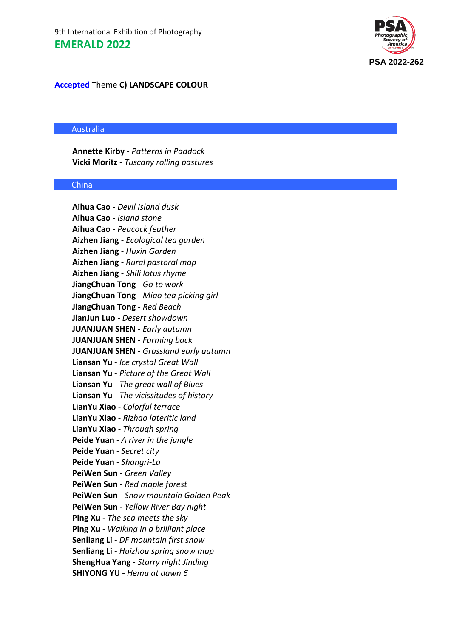

## **Accepted** Theme **C) LANDSCAPE COLOUR**

#### Australia

**Annette Kirby** - *Patterns in Paddock* **Vicki Moritz** - *Tuscany rolling pastures*

#### China

**Aihua Cao** - *Devil Island dusk* **Aihua Cao** - *Island stone* **Aihua Cao** - *Peacock feather* **Aizhen Jiang** - *Ecological tea garden* **Aizhen Jiang** - *Huxin Garden* **Aizhen Jiang** - *Rural pastoral map* **Aizhen Jiang** - *Shili lotus rhyme* **JiangChuan Tong** - *Go to work* **JiangChuan Tong** - *Miao tea picking girl* **JiangChuan Tong** - *Red Beach* **JianJun Luo** - *Desert showdown* **JUANJUAN SHEN** - *Early autumn* **JUANJUAN SHEN** - *Farming back* **JUANJUAN SHEN** - *Grassland early autumn* **Liansan Yu** - *Ice crystal Great Wall* **Liansan Yu** - *Picture of the Great Wall* **Liansan Yu** - *The great wall of Blues* **Liansan Yu** - *The vicissitudes of history* **LianYu Xiao** - *Colorful terrace* **LianYu Xiao** - *Rizhao lateritic land* **LianYu Xiao** - *Through spring* **Peide Yuan** - *A river in the jungle* **Peide Yuan** - *Secret city* **Peide Yuan** - *Shangri-La* **PeiWen Sun** - *Green Valley* **PeiWen Sun** - *Red maple forest* **PeiWen Sun** - *Snow mountain Golden Peak* **PeiWen Sun** - *Yellow River Bay night* **Ping Xu** - *The sea meets the sky* **Ping Xu** - *Walking in a brilliant place* **Senliang Li** - *DF mountain first snow* **Senliang Li** - *Huizhou spring snow map* **ShengHua Yang** - *Starry night Jinding* **SHIYONG YU** - *Hemu at dawn 6*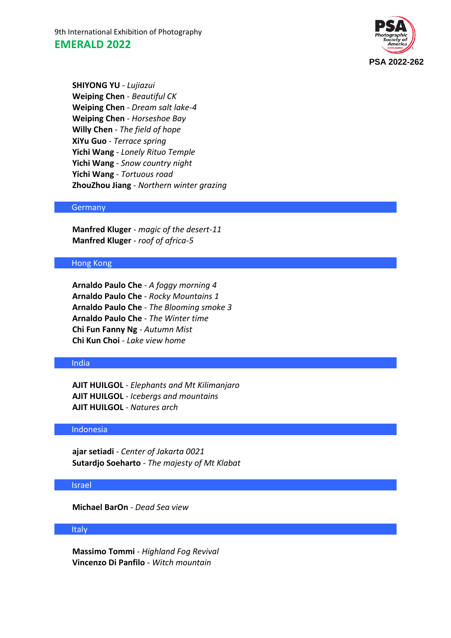9th International Exhibition of Photography **EMERALD 2022**



**SHIYONG YU** - *Lujiazui* **Weiping Chen** - *Beautiful CK* **Weiping Chen** - *Dream salt lake-4* **Weiping Chen** - *Horseshoe Bay* **Willy Chen** - *The field of hope* **XiYu Guo** - *Terrace spring* **Yichi Wang** - *Lonely Rituo Temple* **Yichi Wang** - *Snow country night* **Yichi Wang** - *Tortuous road* **ZhouZhou Jiang** - *Northern winter grazing*

#### **Germany**

**Manfred Kluger** - *magic of the desert-11* **Manfred Kluger** - *roof of africa-5*

### Hong Kong

**Arnaldo Paulo Che** - *A foggy morning 4* **Arnaldo Paulo Che** - *Rocky Mountains 1* **Arnaldo Paulo Che** - *The Blooming smoke 3* **Arnaldo Paulo Che** - *The Winter time* **Chi Fun Fanny Ng** - *Autumn Mist* **Chi Kun Choi** - *Lake view home*

#### India

**AJIT HUILGOL** - *Elephants and Mt Kilimanjaro* **AJIT HUILGOL** - *Icebergs and mountains* **AJIT HUILGOL** - *Natures arch*

#### Indonesia

**ajar setiadi** - *Center of Jakarta 0021* **Sutardjo Soeharto** - *The majesty of Mt Klabat*

## Israel

**Michael BarOn** - *Dead Sea view*

#### Italy

**Massimo Tommi** - *Highland Fog Revival* **Vincenzo Di Panfilo** - *Witch mountain*